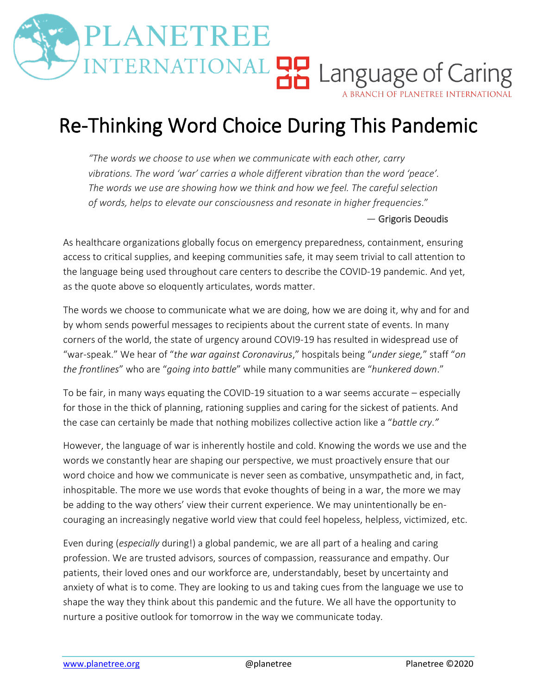## LANETREE NTERNATIONAL **HA** Language of Caring

A BRANCH OF PLANETREE INTERNATIONAL

## Re-Thinking Word Choice During This Pandemic

*"The words we choose to use when we communicate with each other, carry vibrations. The word 'war' carries a whole different vibration than the word 'peace'. The words we use are showing how we think and how we feel. The careful selection of words, helps to elevate our consciousness and resonate in higher frequencies*."

## ― Grigoris Deoudis

As healthcare organizations globally focus on emergency preparedness, containment, ensuring access to critical supplies, and keeping communities safe, it may seem trivial to call attention to the language being used throughout care centers to describe the COVID-19 pandemic. And yet, as the quote above so eloquently articulates, words matter.

The words we choose to communicate what we are doing, how we are doing it, why and for and by whom sends powerful messages to recipients about the current state of events. In many corners of the world, the state of urgency around COVI9-19 has resulted in widespread use of "war-speak." We hear of "*the war against Coronavirus*," hospitals being "*under siege,*" staff "*on the frontlines*" who are "*going into battle*" while many communities are "*hunkered down*."

To be fair, in many ways equating the COVID-19 situation to a war seems accurate – especially for those in the thick of planning, rationing supplies and caring for the sickest of patients. And the case can certainly be made that nothing mobilizes collective action like a "*battle cry*.*"*

However, the language of war is inherently hostile and cold. Knowing the words we use and the words we constantly hear are shaping our perspective, we must proactively ensure that our word choice and how we communicate is never seen as combative, unsympathetic and, in fact, inhospitable. The more we use words that evoke thoughts of being in a war, the more we may be adding to the way others' view their current experience. We may unintentionally be encouraging an increasingly negative world view that could feel hopeless, helpless, victimized, etc.

Even during (*especially* during!) a global pandemic, we are all part of a healing and caring profession. We are trusted advisors, sources of compassion, reassurance and empathy. Our patients, their loved ones and our workforce are, understandably, beset by uncertainty and anxiety of what is to come. They are looking to us and taking cues from the language we use to shape the way they think about this pandemic and the future. We all have the opportunity to nurture a positive outlook for tomorrow in the way we communicate today.